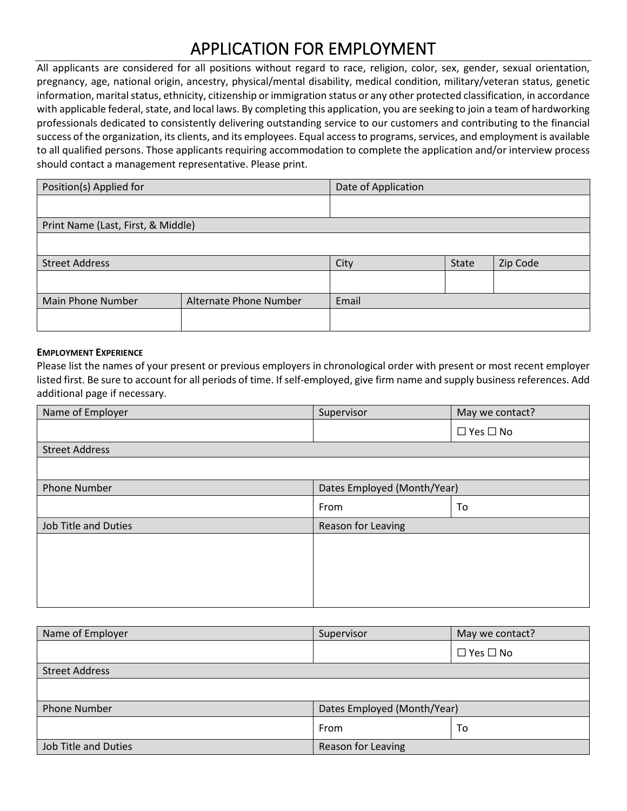# APPLICATION FOR EMPLOYMENT

All applicants are considered for all positions without regard to race, religion, color, sex, gender, sexual orientation, pregnancy, age, national origin, ancestry, physical/mental disability, medical condition, military/veteran status, genetic information, marital status, ethnicity, citizenship or immigration status or any other protected classification, in accordance with applicable federal, state, and local laws. By completing this application, you are seeking to join a team of hardworking professionals dedicated to consistently delivering outstanding service to our customers and contributing to the financial success of the organization, its clients, and its employees. Equal access to programs, services, and employment is available to all qualified persons. Those applicants requiring accommodation to complete the application and/or interview process should contact a management representative. Please print.

| Position(s) Applied for            | Date of Application    |       |       |          |  |
|------------------------------------|------------------------|-------|-------|----------|--|
|                                    |                        |       |       |          |  |
| Print Name (Last, First, & Middle) |                        |       |       |          |  |
|                                    |                        |       |       |          |  |
| <b>Street Address</b>              |                        | City  | State | Zip Code |  |
|                                    |                        |       |       |          |  |
| Main Phone Number                  | Alternate Phone Number | Email |       |          |  |
|                                    |                        |       |       |          |  |

### **EMPLOYMENT EXPERIENCE**

Please list the names of your present or previous employers in chronological order with present or most recent employer listed first. Be sure to account for all periods of time. If self-employed, give firm name and supply business references. Add additional page if necessary.

| Supervisor                  | May we contact?      |
|-----------------------------|----------------------|
|                             | $\Box$ Yes $\Box$ No |
|                             |                      |
|                             |                      |
| Dates Employed (Month/Year) |                      |
| From                        | To                   |
| Reason for Leaving          |                      |
|                             |                      |
|                             |                      |
|                             |                      |
|                             |                      |
|                             |                      |

| Name of Employer      | Supervisor                  | May we contact?      |
|-----------------------|-----------------------------|----------------------|
|                       |                             | $\Box$ Yes $\Box$ No |
| <b>Street Address</b> |                             |                      |
|                       |                             |                      |
| <b>Phone Number</b>   | Dates Employed (Month/Year) |                      |
|                       | From                        | To                   |
| Job Title and Duties  | Reason for Leaving          |                      |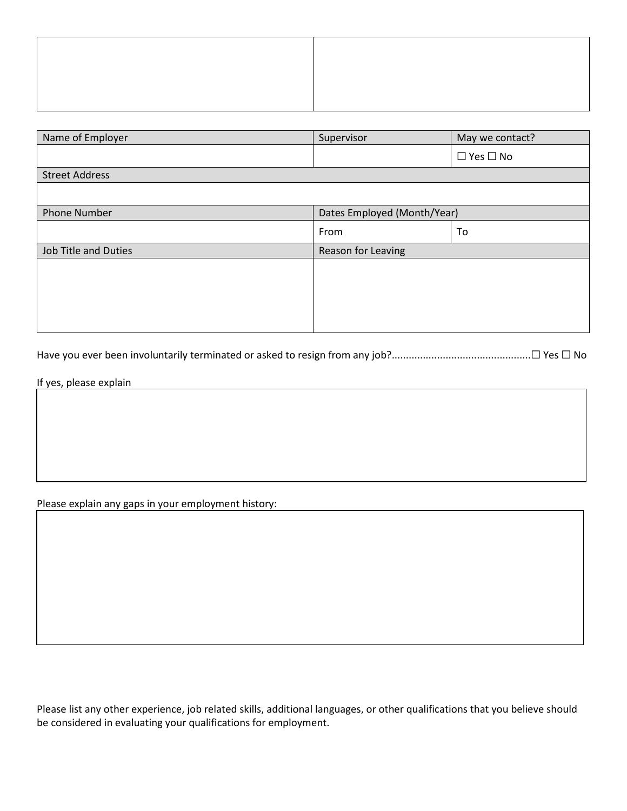| Name of Employer            | Supervisor                  | May we contact?      |
|-----------------------------|-----------------------------|----------------------|
|                             |                             | $\Box$ Yes $\Box$ No |
| <b>Street Address</b>       |                             |                      |
|                             |                             |                      |
| <b>Phone Number</b>         | Dates Employed (Month/Year) |                      |
|                             | From                        | To                   |
| <b>Job Title and Duties</b> | Reason for Leaving          |                      |
|                             |                             |                      |
|                             |                             |                      |
|                             |                             |                      |
|                             |                             |                      |

Have you ever been involuntarily terminated or asked to resign from any job?.................................................☐ Yes ☐ No

If yes, please explain

Please explain any gaps in your employment history:

Please list any other experience, job related skills, additional languages, or other qualifications that you believe should be considered in evaluating your qualifications for employment.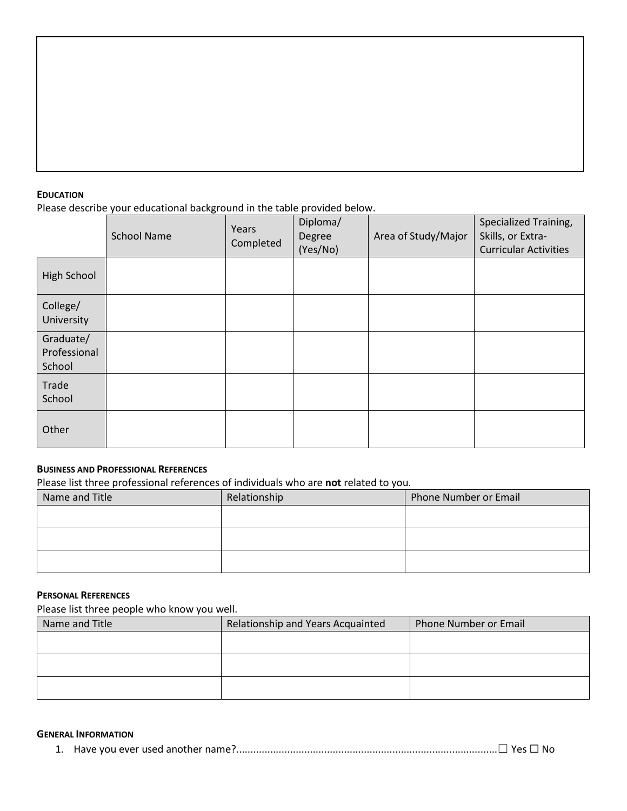#### **EDUCATION**

Please describe your educational background in the table provided below.

|                                     | <b>School Name</b> | Years<br>Completed | Diploma/<br>Degree<br>(Yes/No) | Area of Study/Major | Specialized Training,<br>Skills, or Extra-<br><b>Curricular Activities</b> |
|-------------------------------------|--------------------|--------------------|--------------------------------|---------------------|----------------------------------------------------------------------------|
| High School                         |                    |                    |                                |                     |                                                                            |
| College/<br>University              |                    |                    |                                |                     |                                                                            |
| Graduate/<br>Professional<br>School |                    |                    |                                |                     |                                                                            |
| Trade<br>School                     |                    |                    |                                |                     |                                                                            |
| Other                               |                    |                    |                                |                     |                                                                            |

# **BUSINESS AND PROFESSIONAL REFERENCES**

Please list three professional references of individuals who are **not** related to you.

| Name and Title | Relationship | Phone Number or Email |
|----------------|--------------|-----------------------|
|                |              |                       |
|                |              |                       |
|                |              |                       |
|                |              |                       |

## **PERSONAL REFERENCES**

Please list three people who know you well.

| Name and Title | Relationship and Years Acquainted | Phone Number or Email |
|----------------|-----------------------------------|-----------------------|
|                |                                   |                       |
|                |                                   |                       |
|                |                                   |                       |
|                |                                   |                       |
|                |                                   |                       |

## **GENERAL INFORMATION**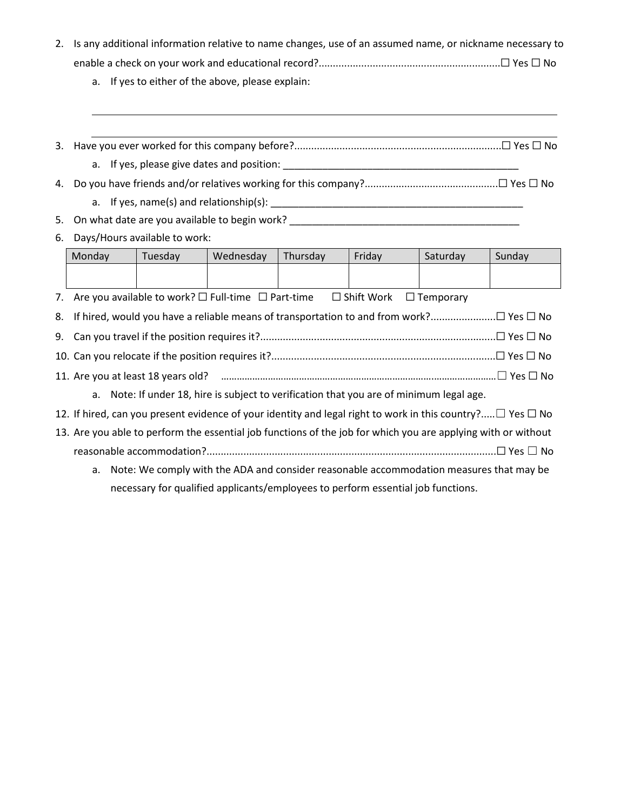- 2. Is any additional information relative to name changes, use of an assumed name, or nickname necessary to enable a check on your work and educational record?................................................................☐ Yes ☐ No
	- a. If yes to either of the above, please explain:
- 3. Have you ever worked for this company before?.........................................................................☐ Yes ☐ No
	- a. If yes, please give dates and position: \_\_\_\_\_\_\_\_\_\_\_\_\_\_\_\_\_\_\_\_\_\_\_\_\_\_\_\_\_\_\_\_\_\_\_\_\_\_\_\_\_\_
- 4. Do you have friends and/or relatives working for this company?...............................................☐ Yes ☐ No
	- a. If yes, name(s) and relationship(s): \_\_\_\_\_\_\_\_\_\_\_\_\_\_\_\_\_\_\_\_\_\_\_\_\_\_\_\_\_\_\_\_\_\_\_\_\_\_\_\_\_\_\_\_\_
- 5. On what date are you available to begin work?
- 6. Days/Hours available to work:

|    | Monday                                                                                                                | Tuesday                                                                                 | Wednesday | Thursday | Friday | Saturday | Sunday |
|----|-----------------------------------------------------------------------------------------------------------------------|-----------------------------------------------------------------------------------------|-----------|----------|--------|----------|--------|
|    |                                                                                                                       |                                                                                         |           |          |        |          |        |
|    | 7. Are you available to work? $\square$ Full-time $\square$ Part-time<br>$\square$ Shift Work<br>$\Box$ Temporary     |                                                                                         |           |          |        |          |        |
| 8. |                                                                                                                       |                                                                                         |           |          |        |          |        |
|    |                                                                                                                       |                                                                                         |           |          |        |          |        |
|    |                                                                                                                       |                                                                                         |           |          |        |          |        |
|    |                                                                                                                       |                                                                                         |           |          |        |          |        |
|    | a. Note: If under 18, hire is subject to verification that you are of minimum legal age.                              |                                                                                         |           |          |        |          |        |
|    | 12. If hired, can you present evidence of your identity and legal right to work in this country? $\Box$ Yes $\Box$ No |                                                                                         |           |          |        |          |        |
|    | 13. Are you able to perform the essential job functions of the job for which you are applying with or without         |                                                                                         |           |          |        |          |        |
|    |                                                                                                                       |                                                                                         |           |          |        |          |        |
|    | а.                                                                                                                    | Note: We comply with the ADA and consider reasonable accommodation measures that may be |           |          |        |          |        |
|    |                                                                                                                       | necessary for qualified applicants/employees to perform essential job functions.        |           |          |        |          |        |